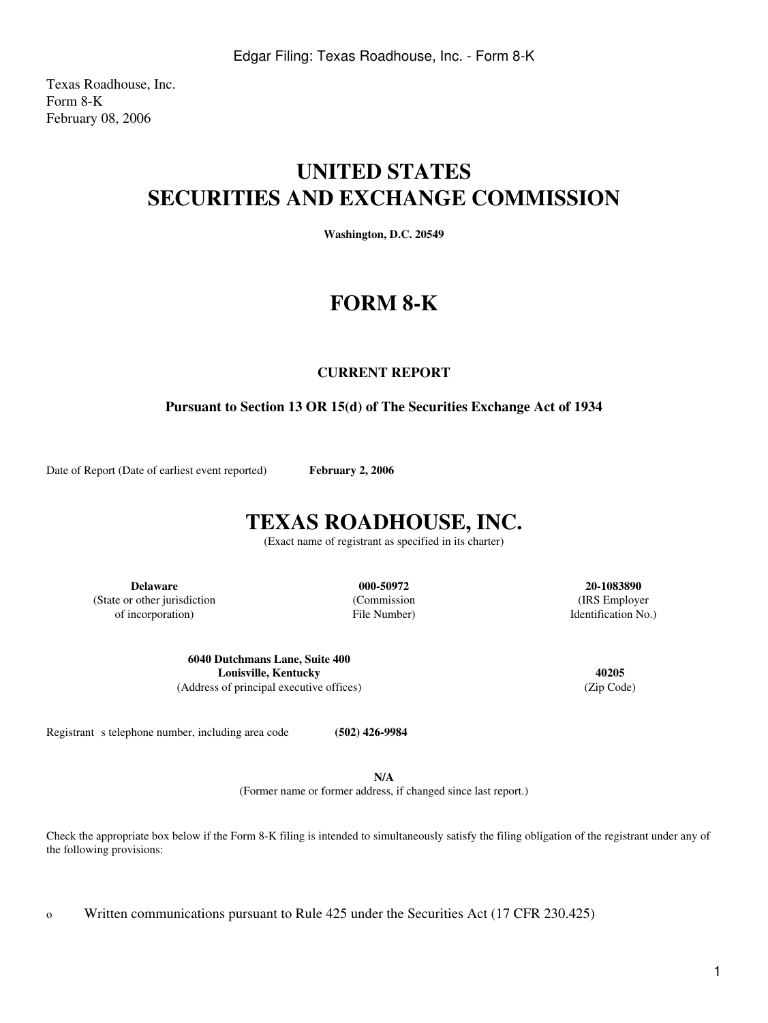Texas Roadhouse, Inc. Form 8-K February 08, 2006

# **UNITED STATES SECURITIES AND EXCHANGE COMMISSION**

**Washington, D.C. 20549**

# **FORM 8-K**

### **CURRENT REPORT**

## **Pursuant to Section 13 OR 15(d) of The Securities Exchange Act of 1934**

Date of Report (Date of earliest event reported) **February 2, 2006** 

## **TEXAS ROADHOUSE, INC.**

(Exact name of registrant as specified in its charter)

**Delaware 000-50972 20-1083890** (State or other jurisdiction (Commission (IRS Employer of incorporation) File Number) Identification No.)

**6040 Dutchmans Lane, Suite 400 Louisville, Kentucky 40205** (Address of principal executive offices) (Zip Code)

Registrant s telephone number, including area code **(502) 426-9984** 

**N/A**

(Former name or former address, if changed since last report.)

Check the appropriate box below if the Form 8-K filing is intended to simultaneously satisfy the filing obligation of the registrant under any of the following provisions:

o Written communications pursuant to Rule 425 under the Securities Act (17 CFR 230.425)

1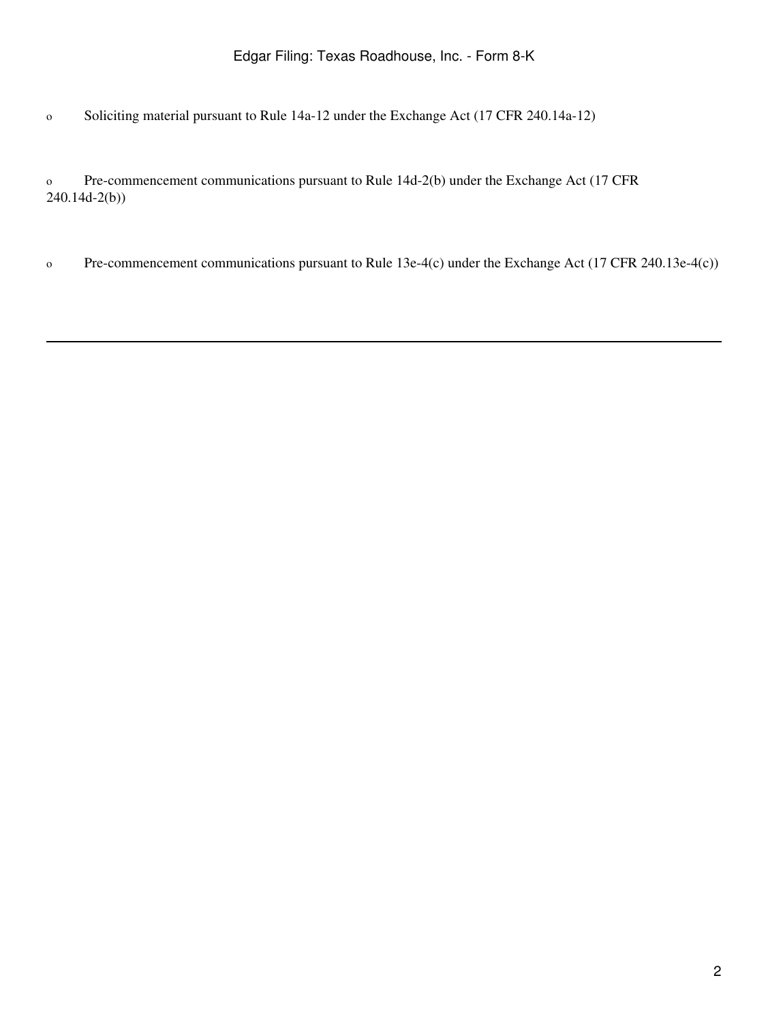o Soliciting material pursuant to Rule 14a-12 under the Exchange Act (17 CFR 240.14a-12)

o Pre-commencement communications pursuant to Rule 14d-2(b) under the Exchange Act (17 CFR 240.14d-2(b))

o Pre-commencement communications pursuant to Rule 13e-4(c) under the Exchange Act (17 CFR 240.13e-4(c))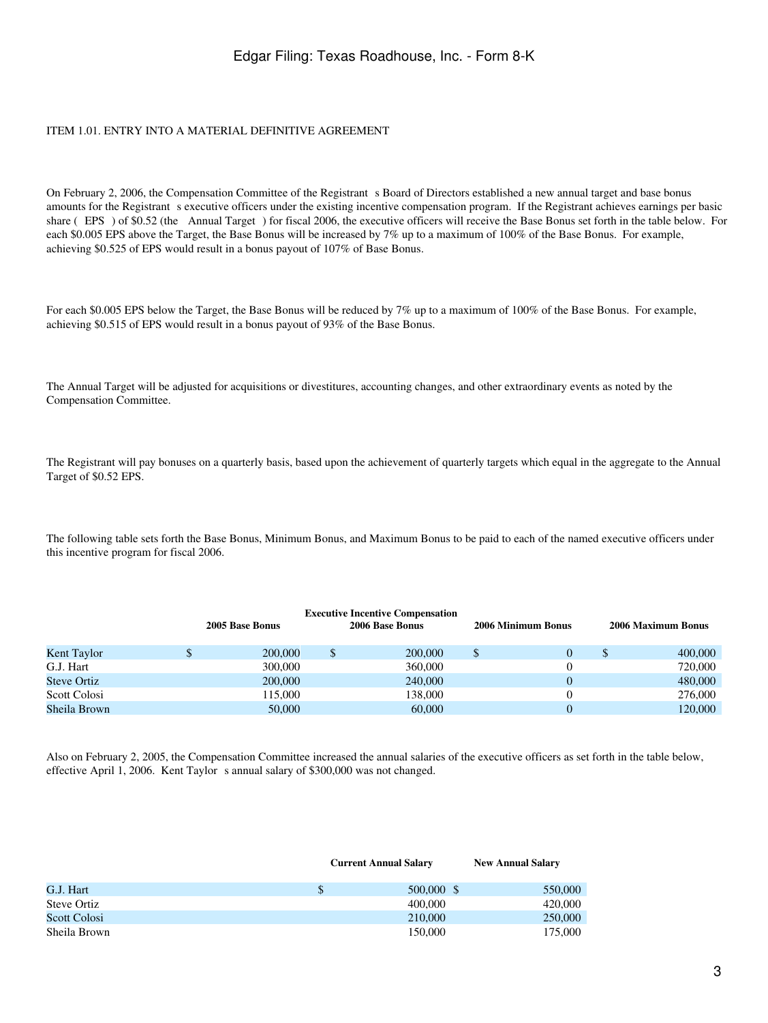### ITEM 1.01. ENTRY INTO A MATERIAL DEFINITIVE AGREEMENT

On February 2, 2006, the Compensation Committee of the Registrant s Board of Directors established a new annual target and base bonus amounts for the Registrant s executive officers under the existing incentive compensation program. If the Registrant achieves earnings per basic share (EPS) of \$0.52 (the Annual Target) for fiscal 2006, the executive officers will receive the Base Bonus set forth in the table below. For each \$0.005 EPS above the Target, the Base Bonus will be increased by 7% up to a maximum of 100% of the Base Bonus. For example, achieving \$0.525 of EPS would result in a bonus payout of 107% of Base Bonus.

For each \$0.005 EPS below the Target, the Base Bonus will be reduced by 7% up to a maximum of 100% of the Base Bonus. For example, achieving \$0.515 of EPS would result in a bonus payout of 93% of the Base Bonus.

The Annual Target will be adjusted for acquisitions or divestitures, accounting changes, and other extraordinary events as noted by the Compensation Committee.

The Registrant will pay bonuses on a quarterly basis, based upon the achievement of quarterly targets which equal in the aggregate to the Annual Target of \$0.52 EPS.

The following table sets forth the Base Bonus, Minimum Bonus, and Maximum Bonus to be paid to each of the named executive officers under this incentive program for fiscal 2006.

|                    | 2005 Base Bonus | <b>Executive Incentive Compensation</b><br>2006 Base Bonus | 2006 Minimum Bonus | 2006 Maximum Bonus |
|--------------------|-----------------|------------------------------------------------------------|--------------------|--------------------|
| Kent Taylor        | 200,000         | 200,000                                                    | $\Omega$           | \$<br>400,000      |
| G.J. Hart          | 300,000         | 360,000                                                    |                    | 720,000            |
| <b>Steve Ortiz</b> | 200,000         | 240,000                                                    |                    | 480,000            |
| Scott Colosi       | 115,000         | 138.000                                                    |                    | 276,000            |
| Sheila Brown       | 50,000          | 60,000                                                     |                    | 120,000            |

Also on February 2, 2005, the Compensation Committee increased the annual salaries of the executive officers as set forth in the table below, effective April 1, 2006. Kent Taylor s annual salary of \$300,000 was not changed.

|              | <b>Current Annual Salary</b> |            | <b>New Annual Salary</b> |  |
|--------------|------------------------------|------------|--------------------------|--|
| G.J. Hart    |                              | 500,000 \$ | 550,000                  |  |
| Steve Ortiz  |                              | 400,000    | 420,000                  |  |
| Scott Colosi |                              | 210,000    | 250,000                  |  |
| Sheila Brown |                              | 150,000    | 175,000                  |  |